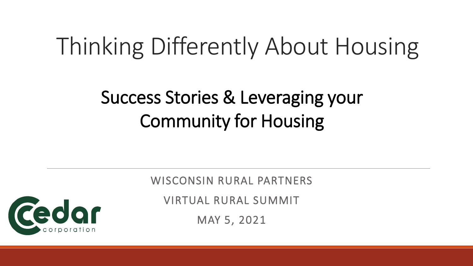# Thinking Differently About Housing

#### Success Stories & Leveraging your Community for Housing

WISCONSIN RURAL PARTNERS

VIRTUAL RURAL SUMMIT

MAY 5, 2021

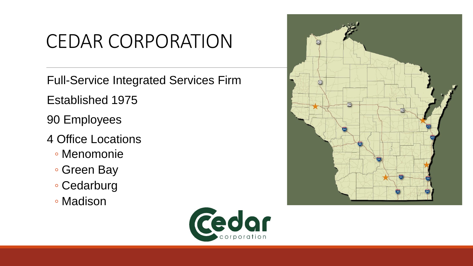#### CEDAR CORPORATION

Full-Service Integrated Services Firm

Established 1975

90 Employees

- 4 Office Locations
	- Menomonie
	- Green Bay
	- Cedarburg
	- Madison



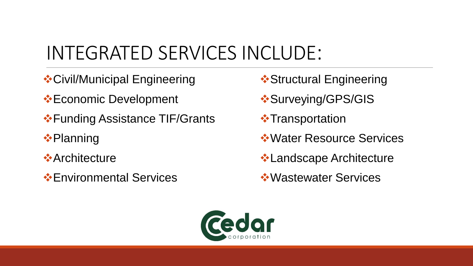### INTEGRATED SERVICES INCLUDE:

- ❖Civil/Municipal Engineering
- ❖Economic Development
- ❖Funding Assistance TIF/Grants
- ❖Planning
- **❖Architecture**
- ❖Environmental Services
- **❖ Structural Engineering**
- ❖Surveying/GPS/GIS
- **❖ Transportation**
- ❖Water Resource Services
- ❖Landscape Architecture
- ❖Wastewater Services

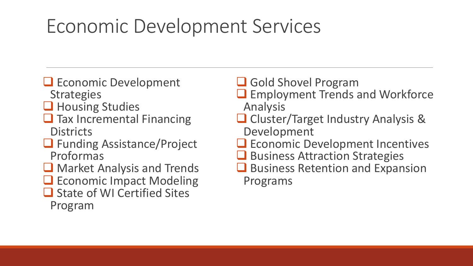#### Economic Development Services

- ❑ Economic Development **Strategies**
- ❑ Housing Studies
- Tax Incremental Financing **Districts**
- ❑ Funding Assistance/Project Proformas
- ❑ Market Analysis and Trends
- Economic Impact Modeling
- ❑ State of WI Certified Sites Program
- Gold Shovel Program
- ❑ Employment Trends and Workforce Analysis
- ❑ Cluster/Target Industry Analysis & Development
- ❑ Economic Development Incentives
- **□** Business Attraction Strategies
- Business Retention and Expansion Programs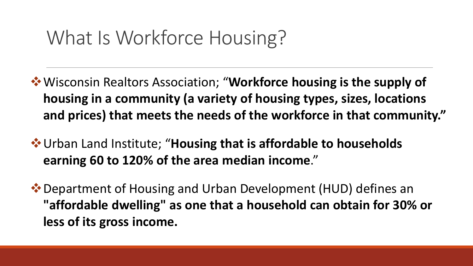#### What Is Workforce Housing?

- ❖Wisconsin Realtors Association; "**Workforce housing is the supply of housing in a community (a variety of housing types, sizes, locations and prices) that meets the needs of the workforce in that community."**
- ❖Urban Land Institute; "**Housing that is affordable to households earning 60 to 120% of the area median income**."
- ❖Department of Housing and Urban Development (HUD) defines an **"affordable dwelling" as one that a household can obtain for 30% or less of its gross income.**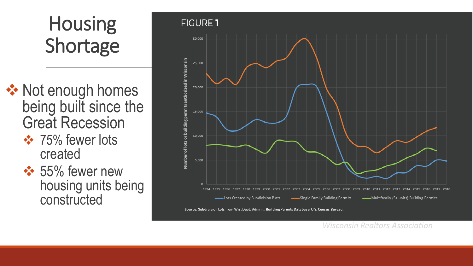## Housing Shortage

- ❖ Not enough homes being built since the Great Recession
	- **❖ 75% fewer lots** created
	- **❖ 55% fewer new** housing units being constructed



*Wisconsin Realtors Association*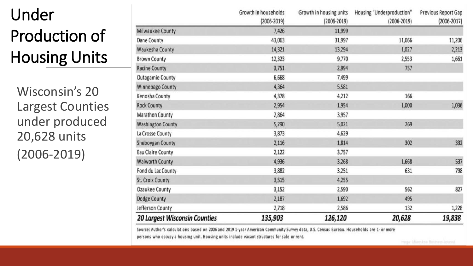#### Under Production of Housing Units

Wisconsin's 20 Largest Counties under produced 20,628 units (2006-2019)

|                                      | Growth in households<br>$(2006 - 2019)$ | Growth in housing units<br>$(2006 - 2019)$ | Housing "Underproduction"<br>$(2006 - 2019)$ | <b>Previous Report Gap</b><br>$(2006 - 2017)$ |
|--------------------------------------|-----------------------------------------|--------------------------------------------|----------------------------------------------|-----------------------------------------------|
| Milwaukee County                     | 7,426                                   | 11,999                                     |                                              |                                               |
| Dane County                          | 43,063                                  | 31,997                                     | 11,066                                       | 11,206                                        |
| <b>Waukesha County</b>               | 14,321                                  | 13,294                                     | 1,027                                        | 2,213                                         |
| <b>Brown County</b>                  | 12,323                                  | 9,770                                      | 2,553                                        | 1,661                                         |
| <b>Racine County</b>                 | 3,751                                   | 2,994                                      | 757                                          |                                               |
| <b>Outagamie County</b>              | 6,668                                   | 7,499                                      |                                              |                                               |
| <b>Winnebago County</b>              | 4,364                                   | 5,581                                      |                                              |                                               |
| Kenosha County                       | 4,378                                   | 4,212                                      | 166                                          |                                               |
| <b>Rock County</b>                   | 2,954                                   | 1,954                                      | 1,000                                        | 1,036                                         |
| <b>Marathon County</b>               | 2,864                                   | 3,957                                      |                                              |                                               |
| <b>Washington County</b>             | 5,290                                   | 5,021                                      | 269                                          |                                               |
| La Crosse County                     | 3,873                                   | 4,629                                      |                                              |                                               |
| Sheboygan County                     | 2,116                                   | 1,814                                      | 302                                          | 332                                           |
| <b>Eau Claire County</b>             | 2,122                                   | 3,757                                      |                                              |                                               |
| <b>Walworth County</b>               | 4,936                                   | 3,268                                      | 1,668                                        | 537                                           |
| Fond du Lac County                   | 3,882                                   | 3,251                                      | 631                                          | 798                                           |
| <b>St. Croix County</b>              | 3,515                                   | 4,255                                      |                                              |                                               |
| <b>Ozaukee County</b>                | 3,152                                   | 2,590                                      | 562                                          | 827                                           |
| <b>Dodge County</b>                  | 2,187                                   | 1,692                                      | 495                                          |                                               |
| Jefferson County                     | 2,718                                   | 2,586                                      | 132                                          | 1,228                                         |
| <b>20 Largest Wisconsin Counties</b> | 135,903                                 | 126,120                                    | 20,628                                       | 19,838                                        |

Source: Author's calculations based on 2006 and 2019 1-year American Community Survey data, U.S. Census Bureau. Households are 1- or more persons who occupy a housing unit. Housing units include vacant structures for sale or rent.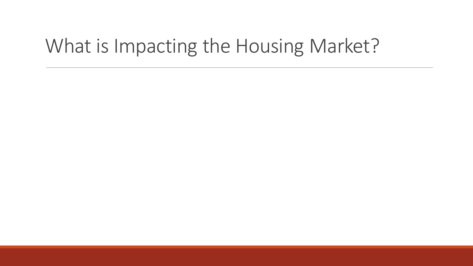#### What is Impacting the Housing Market?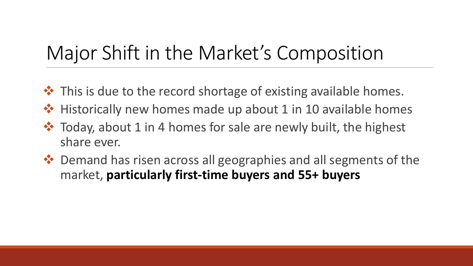### Major Shift in the Market's Composition

- **❖** This is due to the record shortage of existing available homes.
- ❖ Historically new homes made up about 1 in 10 available homes
- ❖ Today, about 1 in 4 homes for sale are newly built, the highest share ever.
- ❖ Demand has risen across all geographies and all segments of the market, **particularly first-time buyers and 55+ buyers**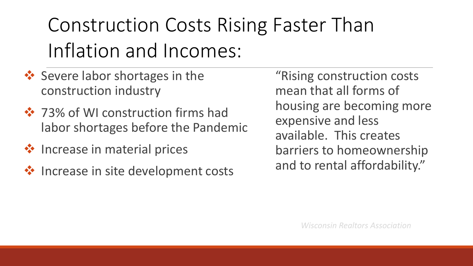# Construction Costs Rising Faster Than Inflation and Incomes:

- ❖ Severe labor shortages in the construction industry
- ❖ 73% of WI construction firms had labor shortages before the Pandemic
- ❖ Increase in material prices
- ❖ Increase in site development costs

"Rising construction costs mean that all forms of housing are becoming more expensive and less available. This creates barriers to homeownership and to rental affordability."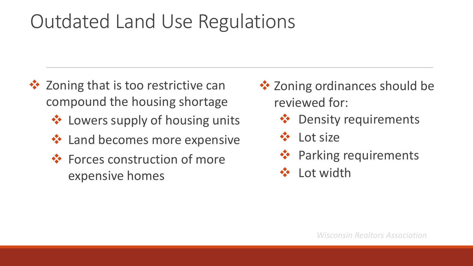#### Outdated Land Use Regulations

- **❖** Zoning that is too restrictive can compound the housing shortage
	- ❖ Lowers supply of housing units
	- ❖ Land becomes more expensive
	- ❖ Forces construction of more expensive homes
- **❖ Zoning ordinances should be** reviewed for:
	- ❖ Density requirements
	- ❖ Lot size
	- ❖ Parking requirements
	- ❖ Lot width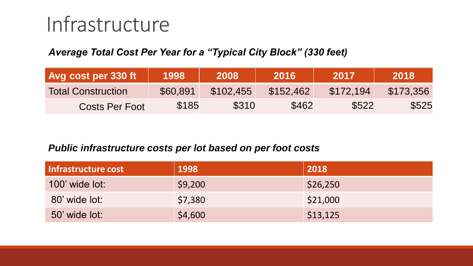### Infrastructure

#### *Average Total Cost Per Year for a "Typical City Block" (330 feet)*

| <b>Avg cost per 330 ft \</b> | 1998     | 2008      | 2016      | /2017     | 2018      |
|------------------------------|----------|-----------|-----------|-----------|-----------|
| <b>Total Construction</b>    | \$60,891 | \$102,455 | \$152,462 | \$172,194 | \$173.356 |
| Costs Per Foot               | \$185    | \$310     | \$462     | \$522     | \$525     |

#### *Public infrastructure costs per lot based on per foot costs*

| Infrastructure cost   | 1998    | 2018     |
|-----------------------|---------|----------|
| <b>100' wide lot:</b> | \$9,200 | \$26,250 |
| 80' wide lot:         | \$7,380 | \$21,000 |
| 50' wide lot:         | \$4,600 | \$13,125 |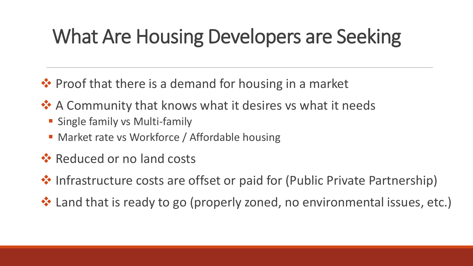## What Are Housing Developers are Seeking

❖ Proof that there is a demand for housing in a market

- **❖ A Community that knows what it desires vs what it needs** 
	- **E** Single family vs Multi-family
	- **Market rate vs Workforce / Affordable housing**
- ❖ Reduced or no land costs
- ❖ Infrastructure costs are offset or paid for (Public Private Partnership)
- ❖ Land that is ready to go (properly zoned, no environmental issues, etc.)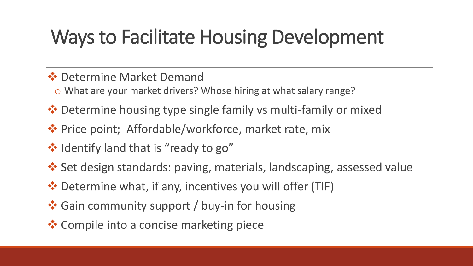## Ways to Facilitate Housing Development

- ❖ Determine Market Demand
	- o What are your market drivers? Whose hiring at what salary range?
- ❖ Determine housing type single family vs multi-family or mixed
- ❖ Price point; Affordable/workforce, market rate, mix
- ❖ Identify land that is "ready to go"
- ❖ Set design standards: paving, materials, landscaping, assessed value
- ❖ Determine what, if any, incentives you will offer (TIF)
- ❖ Gain community support / buy-in for housing
- **❖ Compile into a concise marketing piece**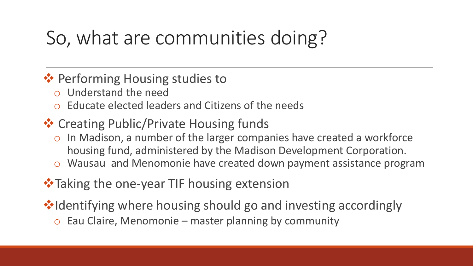## So, what are communities doing?

#### ❖ Performing Housing studies to

- o Understand the need
- o Educate elected leaders and Citizens of the needs
- ❖ Creating Public/Private Housing funds
	- o In Madison, a number of the larger companies have created a workforce housing fund, administered by the Madison Development Corporation.
	- o Wausau and Menomonie have created down payment assistance program

#### **❖ Taking the one-year TIF housing extension**

❖Identifying where housing should go and investing accordingly

 $\circ$  Eau Claire, Menomonie – master planning by community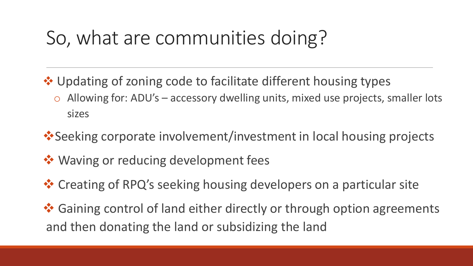#### So, what are communities doing?

- ❖ Updating of zoning code to facilitate different housing types
	- o Allowing for: ADU's accessory dwelling units, mixed use projects, smaller lots sizes
- ❖Seeking corporate involvement/investment in local housing projects
- ❖ Waving or reducing development fees
- ❖ Creating of RPQ's seeking housing developers on a particular site
- ❖ Gaining control of land either directly or through option agreements and then donating the land or subsidizing the land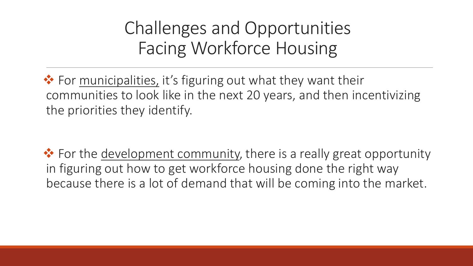Challenges and Opportunities Facing Workforce Housing

❖ For municipalities, it's figuring out what they want their communities to look like in the next 20 years, and then incentivizing the priorities they identify.

❖ For the development community, there is a really great opportunity in figuring out how to get workforce housing done the right way because there is a lot of demand that will be coming into the market.